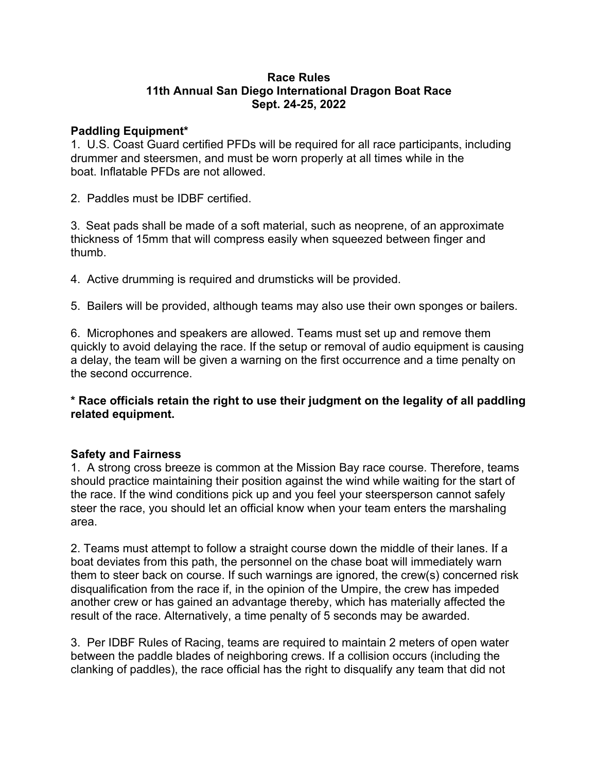## **Race Rules 11th Annual San Diego International Dragon Boat Race Sept. 24-25, 2022**

## **Paddling Equipment\***

1. U.S. Coast Guard certified PFDs will be required for all race participants, including drummer and steersmen, and must be worn properly at all times while in the boat. Inflatable PFDs are not allowed.

2. Paddles must be IDBF certified.

3. Seat pads shall be made of a soft material, such as neoprene, of an approximate thickness of 15mm that will compress easily when squeezed between finger and thumb.

4. Active drumming is required and drumsticks will be provided.

5. Bailers will be provided, although teams may also use their own sponges or bailers.

6. Microphones and speakers are allowed. Teams must set up and remove them quickly to avoid delaying the race. If the setup or removal of audio equipment is causing a delay, the team will be given a warning on the first occurrence and a time penalty on the second occurrence.

**\* Race officials retain the right to use their judgment on the legality of all paddling related equipment.**

## **Safety and Fairness**

1. A strong cross breeze is common at the Mission Bay race course. Therefore, teams should practice maintaining their position against the wind while waiting for the start of the race. If the wind conditions pick up and you feel your steersperson cannot safely steer the race, you should let an official know when your team enters the marshaling area.

2. Teams must attempt to follow a straight course down the middle of their lanes. If a boat deviates from this path, the personnel on the chase boat will immediately warn them to steer back on course. If such warnings are ignored, the crew(s) concerned risk disqualification from the race if, in the opinion of the Umpire, the crew has impeded another crew or has gained an advantage thereby, which has materially affected the result of the race. Alternatively, a time penalty of 5 seconds may be awarded.

3. Per IDBF Rules of Racing, teams are required to maintain 2 meters of open water between the paddle blades of neighboring crews. If a collision occurs (including the clanking of paddles), the race official has the right to disqualify any team that did not